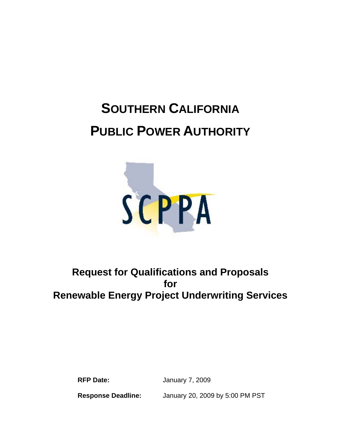# **SOUTHERN CALIFORNIA PUBLIC POWER AUTHORITY**



# **Request for Qualifications and Proposals for Renewable Energy Project Underwriting Services**

**RFP Date:** January 7, 2009

**Response Deadline:** January 20, 2009 by 5:00 PM PST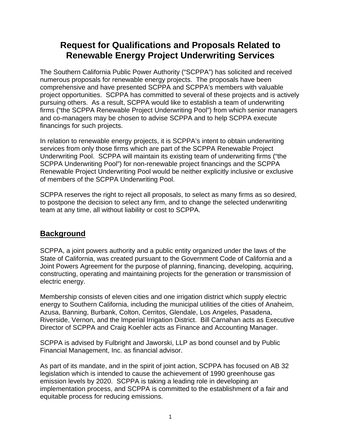# **Request for Qualifications and Proposals Related to Renewable Energy Project Underwriting Services**

The Southern California Public Power Authority ("SCPPA") has solicited and received numerous proposals for renewable energy projects. The proposals have been comprehensive and have presented SCPPA and SCPPA's members with valuable project opportunities. SCPPA has committed to several of these projects and is actively pursuing others. As a result, SCPPA would like to establish a team of underwriting firms ("the SCPPA Renewable Project Underwriting Pool") from which senior managers and co-managers may be chosen to advise SCPPA and to help SCPPA execute financings for such projects.

In relation to renewable energy projects, it is SCPPA's intent to obtain underwriting services from only those firms which are part of the SCPPA Renewable Project Underwriting Pool. SCPPA will maintain its existing team of underwriting firms ("the SCPPA Underwriting Pool") for non-renewable project financings and the SCPPA Renewable Project Underwriting Pool would be neither explicitly inclusive or exclusive of members of the SCPPA Underwriting Pool.

SCPPA reserves the right to reject all proposals, to select as many firms as so desired, to postpone the decision to select any firm, and to change the selected underwriting team at any time, all without liability or cost to SCPPA.

## **Background**

SCPPA, a joint powers authority and a public entity organized under the laws of the State of California, was created pursuant to the Government Code of California and a Joint Powers Agreement for the purpose of planning, financing, developing, acquiring, constructing, operating and maintaining projects for the generation or transmission of electric energy.

Membership consists of eleven cities and one irrigation district which supply electric energy to Southern California, including the municipal utilities of the cities of Anaheim, Azusa, Banning, Burbank, Colton, Cerritos, Glendale, Los Angeles, Pasadena, Riverside, Vernon, and the Imperial Irrigation District. Bill Carnahan acts as Executive Director of SCPPA and Craig Koehler acts as Finance and Accounting Manager.

SCPPA is advised by Fulbright and Jaworski, LLP as bond counsel and by Public Financial Management, Inc. as financial advisor.

As part of its mandate, and in the spirit of joint action, SCPPA has focused on AB 32 legislation which is intended to cause the achievement of 1990 greenhouse gas emission levels by 2020. SCPPA is taking a leading role in developing an implementation process, and SCPPA is committed to the establishment of a fair and equitable process for reducing emissions.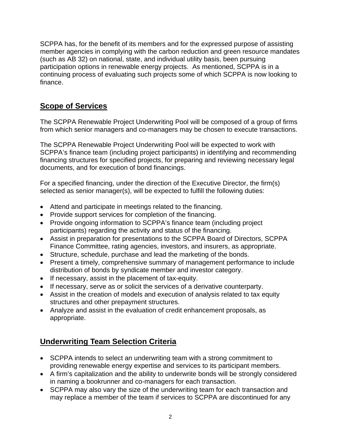SCPPA has, for the benefit of its members and for the expressed purpose of assisting member agencies in complying with the carbon reduction and green resource mandates (such as AB 32) on national, state, and individual utility basis, been pursuing participation options in renewable energy projects. As mentioned, SCPPA is in a continuing process of evaluating such projects some of which SCPPA is now looking to finance.

## **Scope of Services**

The SCPPA Renewable Project Underwriting Pool will be composed of a group of firms from which senior managers and co-managers may be chosen to execute transactions.

The SCPPA Renewable Project Underwriting Pool will be expected to work with SCPPA's finance team (including project participants) in identifying and recommending financing structures for specified projects, for preparing and reviewing necessary legal documents, and for execution of bond financings.

For a specified financing, under the direction of the Executive Director, the firm(s) selected as senior manager(s), will be expected to fulfill the following duties:

- Attend and participate in meetings related to the financing.
- Provide support services for completion of the financing.
- Provide ongoing information to SCPPA's finance team (including project participants) regarding the activity and status of the financing.
- Assist in preparation for presentations to the SCPPA Board of Directors, SCPPA Finance Committee, rating agencies, investors, and insurers, as appropriate.
- Structure, schedule, purchase and lead the marketing of the bonds.
- Present a timely, comprehensive summary of management performance to include distribution of bonds by syndicate member and investor category.
- If necessary, assist in the placement of tax-equity.
- If necessary, serve as or solicit the services of a derivative counterparty.
- Assist in the creation of models and execution of analysis related to tax equity structures and other prepayment structures.
- Analyze and assist in the evaluation of credit enhancement proposals, as appropriate.

# **Underwriting Team Selection Criteria**

- SCPPA intends to select an underwriting team with a strong commitment to providing renewable energy expertise and services to its participant members.
- A firm's capitalization and the ability to underwrite bonds will be strongly considered in naming a bookrunner and co-managers for each transaction.
- SCPPA may also vary the size of the underwriting team for each transaction and may replace a member of the team if services to SCPPA are discontinued for any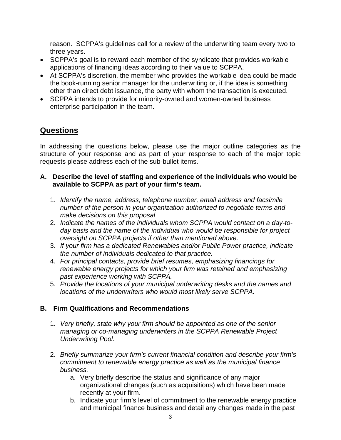reason. SCPPA's guidelines call for a review of the underwriting team every two to three years.

- SCPPA's goal is to reward each member of the syndicate that provides workable applications of financing ideas according to their value to SCPPA.
- At SCPPA's discretion, the member who provides the workable idea could be made the book-running senior manager for the underwriting or, if the idea is something other than direct debt issuance, the party with whom the transaction is executed.
- SCPPA intends to provide for minority-owned and women-owned business enterprise participation in the team.

## **Questions**

In addressing the questions below, please use the major outline categories as the structure of your response and as part of your response to each of the major topic requests please address each of the sub-bullet items.

#### **A. Describe the level of staffing and experience of the individuals who would be available to SCPPA as part of your firm's team.**

- 1. *Identify the name, address, telephone number, email address and facsimile number of the person in your organization authorized to negotiate terms and make decisions on this proposal*
- 2. *Indicate the names of the individuals whom SCPPA would contact on a day-today basis and the name of the individual who would be responsible for project oversight on SCPPA projects if other than mentioned above.*
- 3. *If your firm has a dedicated Renewables and/or Public Power practice, indicate the number of individuals dedicated to that practice.*
- 4. *For principal contacts, provide brief resumes, emphasizing financings for renewable energy projects for which your firm was retained and emphasizing past experience working with SCPPA.*
- 5. *Provide the locations of your municipal underwriting desks and the names and locations of the underwriters who would most likely serve SCPPA.*

#### **B. Firm Qualifications and Recommendations**

- 1. *Very briefly, state why your firm should be appointed as one of the senior managing or co-managing underwriters in the SCPPA Renewable Project Underwriting Pool.*
- 2. *Briefly summarize your firm's current financial condition and describe your firm's commitment to renewable energy practice as well as the municipal finance business.* 
	- a. Very briefly describe the status and significance of any major organizational changes (such as acquisitions) which have been made recently at your firm.
	- b. Indicate your firm's level of commitment to the renewable energy practice and municipal finance business and detail any changes made in the past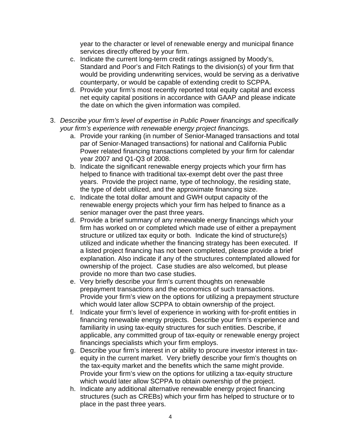year to the character or level of renewable energy and municipal finance services directly offered by your firm.

- c. Indicate the current long-term credit ratings assigned by Moody's, Standard and Poor's and Fitch Ratings to the division(s) of your firm that would be providing underwriting services, would be serving as a derivative counterparty, or would be capable of extending credit to SCPPA.
- d. Provide your firm's most recently reported total equity capital and excess net equity capital positions in accordance with GAAP and please indicate the date on which the given information was compiled.
- 3. *Describe your firm's level of expertise in Public Power financings and specifically your firm's experience with renewable energy project financings.* 
	- a. Provide your ranking (in number of Senior-Managed transactions and total par of Senior-Managed transactions) for national and California Public Power related financing transactions completed by your firm for calendar year 2007 and Q1-Q3 of 2008.
	- b. Indicate the significant renewable energy projects which your firm has helped to finance with traditional tax-exempt debt over the past three years. Provide the project name, type of technology, the residing state, the type of debt utilized, and the approximate financing size.
	- c. Indicate the total dollar amount and GWH output capacity of the renewable energy projects which your firm has helped to finance as a senior manager over the past three years.
	- d. Provide a brief summary of any renewable energy financings which your firm has worked on or completed which made use of either a prepayment structure or utilized tax equity or both. Indicate the kind of structure(s) utilized and indicate whether the financing strategy has been executed. If a listed project financing has not been completed, please provide a brief explanation. Also indicate if any of the structures contemplated allowed for ownership of the project. Case studies are also welcomed, but please provide no more than two case studies.
	- e. Very briefly describe your firm's current thoughts on renewable prepayment transactions and the economics of such transactions. Provide your firm's view on the options for utilizing a prepayment structure which would later allow SCPPA to obtain ownership of the project.
	- f. Indicate your firm's level of experience in working with for-profit entities in financing renewable energy projects. Describe your firm's experience and familiarity in using tax-equity structures for such entities. Describe, if applicable, any committed group of tax-equity or renewable energy project financings specialists which your firm employs.
	- g. Describe your firm's interest in or ability to procure investor interest in taxequity in the current market. Very briefly describe your firm's thoughts on the tax-equity market and the benefits which the same might provide. Provide your firm's view on the options for utilizing a tax-equity structure which would later allow SCPPA to obtain ownership of the project.
	- h. Indicate any additional alternative renewable energy project financing structures (such as CREBs) which your firm has helped to structure or to place in the past three years.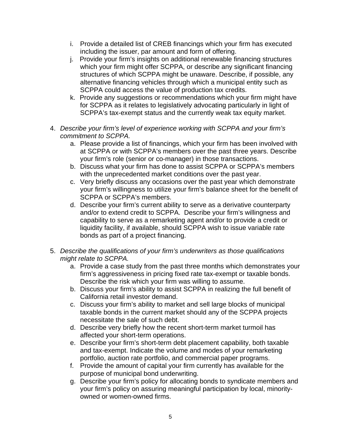- i. Provide a detailed list of CREB financings which your firm has executed including the issuer, par amount and form of offering.
- j. Provide your firm's insights on additional renewable financing structures which your firm might offer SCPPA, or describe any significant financing structures of which SCPPA might be unaware. Describe, if possible, any alternative financing vehicles through which a municipal entity such as SCPPA could access the value of production tax credits.
- k. Provide any suggestions or recommendations which your firm might have for SCPPA as it relates to legislatively advocating particularly in light of SCPPA's tax-exempt status and the currently weak tax equity market.
- 4. *Describe your firm's level of experience working with SCPPA and your firm's commitment to SCPPA.* 
	- a. Please provide a list of financings, which your firm has been involved with at SCPPA or with SCPPA's members over the past three years. Describe your firm's role (senior or co-manager) in those transactions.
	- b. Discuss what your firm has done to assist SCPPA or SCPPA's members with the unprecedented market conditions over the past year.
	- c. Very briefly discuss any occasions over the past year which demonstrate your firm's willingness to utilize your firm's balance sheet for the benefit of SCPPA or SCPPA's members.
	- d. Describe your firm's current ability to serve as a derivative counterparty and/or to extend credit to SCPPA. Describe your firm's willingness and capability to serve as a remarketing agent and/or to provide a credit or liquidity facility, if available, should SCPPA wish to issue variable rate bonds as part of a project financing.
- 5. *Describe the qualifications of your firm's underwriters as those qualifications might relate to SCPPA.* 
	- a. Provide a case study from the past three months which demonstrates your firm's aggressiveness in pricing fixed rate tax-exempt or taxable bonds. Describe the risk which your firm was willing to assume.
	- b. Discuss your firm's ability to assist SCPPA in realizing the full benefit of California retail investor demand.
	- c. Discuss your firm's ability to market and sell large blocks of municipal taxable bonds in the current market should any of the SCPPA projects necessitate the sale of such debt.
	- d. Describe very briefly how the recent short-term market turmoil has affected your short-term operations.
	- e. Describe your firm's short-term debt placement capability, both taxable and tax-exempt. Indicate the volume and modes of your remarketing portfolio, auction rate portfolio, and commercial paper programs.
	- f. Provide the amount of capital your firm currently has available for the purpose of municipal bond underwriting.
	- g. Describe your firm's policy for allocating bonds to syndicate members and your firm's policy on assuring meaningful participation by local, minorityowned or women-owned firms.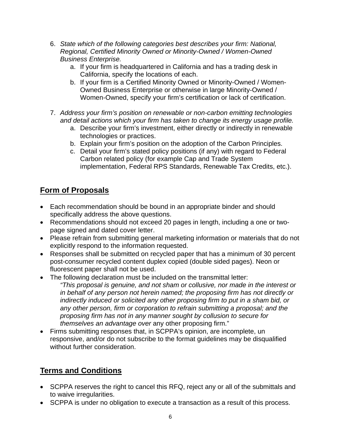- 6. *State which of the following categories best describes your firm: National, Regional, Certified Minority Owned or Minority-Owned / Women-Owned Business Enterprise.* 
	- a. If your firm is headquartered in California and has a trading desk in California, specify the locations of each.
	- b. If your firm is a Certified Minority Owned or Minority-Owned / Women-Owned Business Enterprise or otherwise in large Minority-Owned / Women-Owned, specify your firm's certification or lack of certification.
- 7. *Address your firm's position on renewable or non-carbon emitting technologies and detail actions which your firm has taken to change its energy usage profile.* 
	- a. Describe your firm's investment, either directly or indirectly in renewable technologies or practices.
	- b. Explain your firm's position on the adoption of the Carbon Principles.
	- c. Detail your firm's stated policy positions (if any) with regard to Federal Carbon related policy (for example Cap and Trade System implementation, Federal RPS Standards, Renewable Tax Credits, etc.).

## **Form of Proposals**

- Each recommendation should be bound in an appropriate binder and should specifically address the above questions.
- Recommendations should not exceed 20 pages in length, including a one or twopage signed and dated cover letter.
- Please refrain from submitting general marketing information or materials that do not explicitly respond to the information requested.
- Responses shall be submitted on recycled paper that has a minimum of 30 percent post-consumer recycled content duplex copied (double sided pages). Neon or fluorescent paper shall not be used.
- The following declaration must be included on the transmittal letter:
	- *"This proposal is genuine, and not sham or collusive, nor made in the interest or in behalf of any person not herein named; the proposing firm has not directly or indirectly induced or solicited any other proposing firm to put in a sham bid, or any other person, firm or corporation to refrain submitting a proposal; and the proposing firm has not in any manner sought by collusion to secure for themselves an advantage over* any other proposing firm."
- Firms submitting responses that, in SCPPA's opinion, are incomplete, un responsive, and/or do not subscribe to the format guidelines may be disqualified without further consideration.

# **Terms and Conditions**

- SCPPA reserves the right to cancel this RFQ, reject any or all of the submittals and to waive irregularities.
- SCPPA is under no obligation to execute a transaction as a result of this process.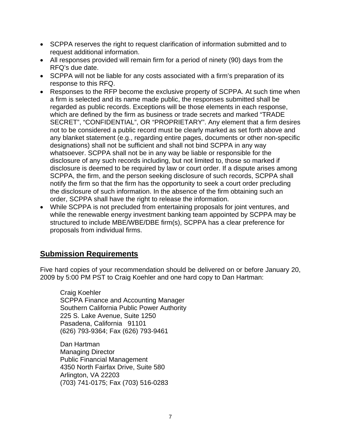- SCPPA reserves the right to request clarification of information submitted and to request additional information.
- All responses provided will remain firm for a period of ninety (90) days from the RFQ's due date.
- SCPPA will not be liable for any costs associated with a firm's preparation of its response to this RFQ.
- Responses to the RFP become the exclusive property of SCPPA. At such time when a firm is selected and its name made public, the responses submitted shall be regarded as public records. Exceptions will be those elements in each response, which are defined by the firm as business or trade secrets and marked "TRADE SECRET", "CONFIDENTIAL", OR "PROPRIETARY". Any element that a firm desires not to be considered a public record must be clearly marked as set forth above and any blanket statement (e.g., regarding entire pages, documents or other non-specific designations) shall not be sufficient and shall not bind SCPPA in any way whatsoever. SCPPA shall not be in any way be liable or responsible for the disclosure of any such records including, but not limited to, those so marked if disclosure is deemed to be required by law or court order. If a dispute arises among SCPPA, the firm, and the person seeking disclosure of such records, SCPPA shall notify the firm so that the firm has the opportunity to seek a court order precluding the disclosure of such information. In the absence of the firm obtaining such an order, SCPPA shall have the right to release the information.
- While SCPPA is not precluded from entertaining proposals for joint ventures, and while the renewable energy investment banking team appointed by SCPPA may be structured to include MBE/WBE/DBE firm(s), SCPPA has a clear preference for proposals from individual firms.

#### **Submission Requirements**

Five hard copies of your recommendation should be delivered on or before January 20, 2009 by 5:00 PM PST to Craig Koehler and one hard copy to Dan Hartman:

 Craig Koehler SCPPA Finance and Accounting Manager Southern California Public Power Authority 225 S. Lake Avenue, Suite 1250 Pasadena, California 91101 (626) 793-9364; Fax (626) 793-9461

 Dan Hartman Managing Director Public Financial Management 4350 North Fairfax Drive, Suite 580 Arlington, VA 22203 (703) 741-0175; Fax (703) 516-0283